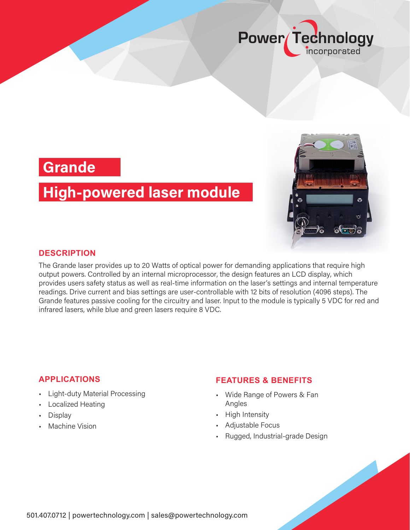

## **Grande**

# **High-powered laser module**



#### **DESCRIPTION**

The Grande laser provides up to 20 Watts of optical power for demanding applications that require high output powers. Controlled by an internal microprocessor, the design features an LCD display, which provides users safety status as well as real-time information on the laser's settings and internal temperature readings. Drive current and bias settings are user-controllable with 12 bits of resolution (4096 steps). The Grande features passive cooling for the circuitry and laser. Input to the module is typically 5 VDC for red and infrared lasers, while blue and green lasers require 8 VDC.

### **APPLICATIONS**

- Light-duty Material Processing
- Localized Heating
- Display
- Machine Vision

#### **FEATURES & BENEFITS**

- Wide Range of Powers & Fan Angles
- High Intensity
- Adjustable Focus
- Rugged, Industrial-grade Design